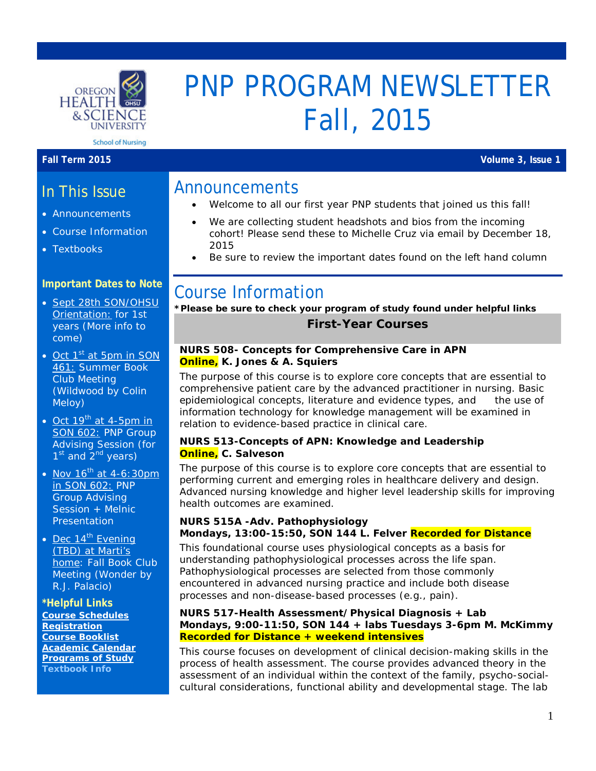

# PNP PROGRAM NEWSLETTER Fall, 2015

**Fall Term 2015 Volume 3, Issue 1**

## Announcements

- Welcome to all our first year PNP students that joined us this fall!
	- We are collecting student headshots and bios from the incoming cohort! Please send these to Michelle Cruz via email by December 18, 2015
	- Be sure to review the important dates found on the left hand column

# Course Information

**\*Please be sure to check your program of study found under helpful links First-Year Courses**

#### **NURS 508- Concepts for Comprehensive Care in APN Online, K. Jones & A. Squiers**

The purpose of this course is to explore core concepts that are essential to comprehensive patient care by the advanced practitioner in nursing. Basic epidemiological concepts, literature and evidence types, and the use of information technology for knowledge management will be examined in relation to evidence-based practice in clinical care.

#### **NURS 513-Concepts of APN: Knowledge and Leadership Online, C. Salveson**

The purpose of this course is to explore core concepts that are essential to performing current and emerging roles in healthcare delivery and design. Advanced nursing knowledge and higher level leadership skills for improving health outcomes are examined.

#### **NURS 515A -Adv. Pathophysiology Mondays, 13:00-15:50, SON 144 L. Felver Recorded for Distance**

This foundational course uses physiological concepts as a basis for understanding pathophysiological processes across the life span. Pathophysiological processes are selected from those commonly encountered in advanced nursing practice and include both disease processes and non-disease-based processes (e.g., pain).

#### **NURS 517-Health Assessment/Physical Diagnosis + Lab Mondays, 9:00-11:50, SON 144 + labs Tuesdays 3-6pm M. McKimmy Recorded for Distance + weekend intensives**

This course focuses on development of clinical decision-making skills in the process of health assessment. The course provides advanced theory in the assessment of an individual within the context of the family, psycho-socialcultural considerations, functional ability and developmental stage. The lab

In This Issue

- Announcements
- Course Information
- Textbooks

### **Important Dates to Note**

- Sept 28th SON/OHSU Orientation: for 1st years (More info to come)
- Oct  $1<sup>st</sup>$  at 5pm in SON 461: Summer Book Club Meeting (*Wildwood* by Colin Meloy)
- Oct  $19^{th}$  at 4-5pm in SON 602: PNP Group Advising Session (for  $1<sup>st</sup>$  and  $2<sup>nd</sup>$  years)
- Nov  $16^{th}$  at 4-6:30pm in SON 602: PNP Group Advising Session + Melnic **Presentation**
- Dec  $14^{\text{th}}$  Evening (TBD) at Marti's home: Fall Book Club Meeting (*Wonder* by R.J. Palacio)

#### **\*Helpful Links**

**[Course Schedules](http://www.ohsu.edu/xd/education/schools/school-of-nursing/students/academic-affairs/course-schedule.cfm) [Registration](http://www.ohsu.edu/xd/education/schools/school-of-nursing/students/registration_records.cfm) [Course Booklist](http://www.bkstr.com/oregonhealthsciencestore/home/en?cm_mmc=Redirect-_-VanityURL-_-ohsu.bkstr.com-_-284905) [Academic Calendar](http://www.ohsu.edu/xd/education/student-services/registrar/registrar-forms/index.cfm) [Programs of Study](http://www.ohsu.edu/xd/education/schools/school-of-nursing/programs/programs-of-study-page.cfm?WT_rank=1) [Textbook Info](http://libguides.ohsu.edu/c.php?g=373474&p=2524652)**